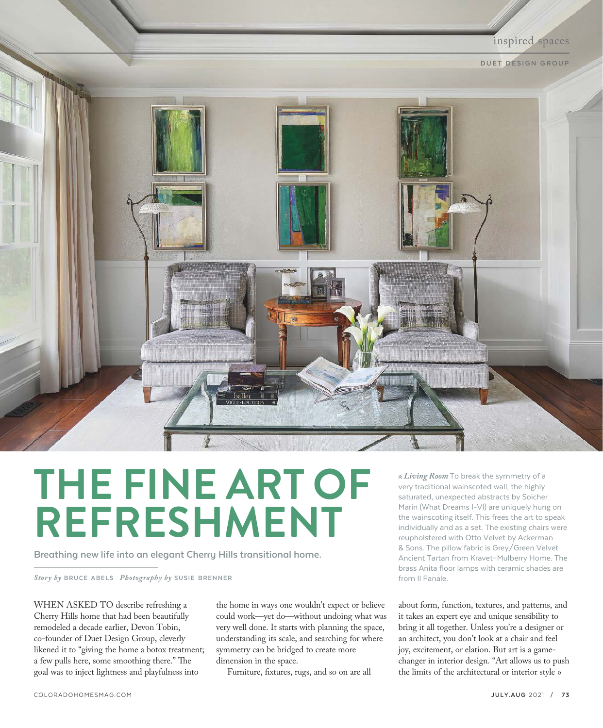

## **THE FINE ART OF REFRESHMENT**

**Breathing new life into an elegant Cherry Hills transitional home.** 

*Story by* **BRUCE ABELS** *Photography by* **SUSIE BRENNER**

WHEN ASKED TO describe refreshing a Cherry Hills home that had been beautifully remodeled a decade earlier, Devon Tobin, co-founder of Duet Design Group, cleverly likened it to "giving the home a botox treatment; a few pulls here, some smoothing there." The goal was to inject lightness and playfulness into

the home in ways one wouldn't expect or believe could work—yet do—without undoing what was very well done. It starts with planning the space, understanding its scale, and searching for where symmetry can be bridged to create more dimension in the space.

Furniture, fixtures, rugs, and so on are all

 *Living Room* To break the symmetry of a very traditional wainscoted wall, the highly saturated, unexpected abstracts by Soicher Marin (What Dreams I-VI) are uniquely hung on the wainscoting itself. This frees the art to speak individually and as a set. The existing chairs were reupholstered with Otto Velvet by Ackerman & Sons. The pillow fabric is Grey/Green Velvet Ancient Tartan from Kravet–Mulberry Home. The brass Anita floor lamps with ceramic shades are from Il Fanale.

about form, function, textures, and patterns, and it takes an expert eye and unique sensibility to bring it all together. Unless you're a designer or an architect, you don't look at a chair and feel joy, excitement, or elation. But art is a gamechanger in interior design. "Art allows us to push the limits of the architectural or interior style »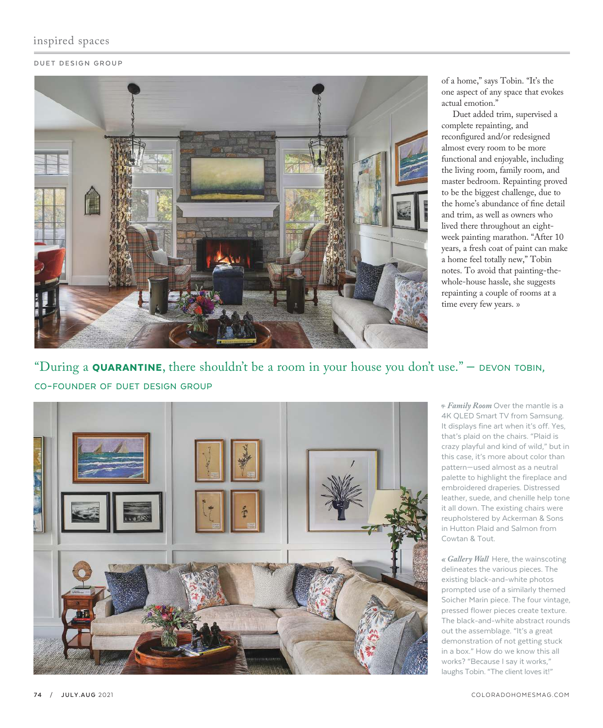## inspired spaces

## **DUET DESIGN GROUP**



of a home," says Tobin. "It's the one aspect of any space that evokes actual emotion."

Duet added trim, supervised a complete repainting, and reconfigured and/or redesigned almost every room to be more functional and enjoyable, including the living room, family room, and master bedroom. Repainting proved to be the biggest challenge, due to the home's abundance of fine detail and trim, as well as owners who lived there throughout an eightweek painting marathon. "After 10 years, a fresh coat of paint can make a home feel totally new," Tobin notes. To avoid that painting-thewhole-house hassle, she suggests repainting a couple of rooms at a time every few years. »

## "During a **QUARANTINE**, there shouldn't be a room in your house you don't use."  $-$  DEVON TOBIN, CO-FOUNDER OF DUET DESIGN GROUP



 *Family Room* Over the mantle is a 4K QLED Smart TV from Samsung. It displays fine art when it's off. Yes, that's plaid on the chairs. "Plaid is crazy playful and kind of wild," but in this case, it's more about color than pattern—used almost as a neutral palette to highlight the fireplace and embroidered draperies. Distressed leather, suede, and chenille help tone it all down. The existing chairs were reupholstered by Ackerman & Sons in Hutton Plaid and Salmon from Cowtan & Tout.

 *Gallery Wall* Here, the wainscoting delineates the various pieces. The existing black-and-white photos prompted use of a similarly themed Soicher Marin piece. The four vintage, pressed flower pieces create texture. The black-and-white abstract rounds out the assemblage. "It's a great demonstration of not getting stuck in a box." How do we know this all works? "Because I say it works," laughs Tobin. "The client loves it!"